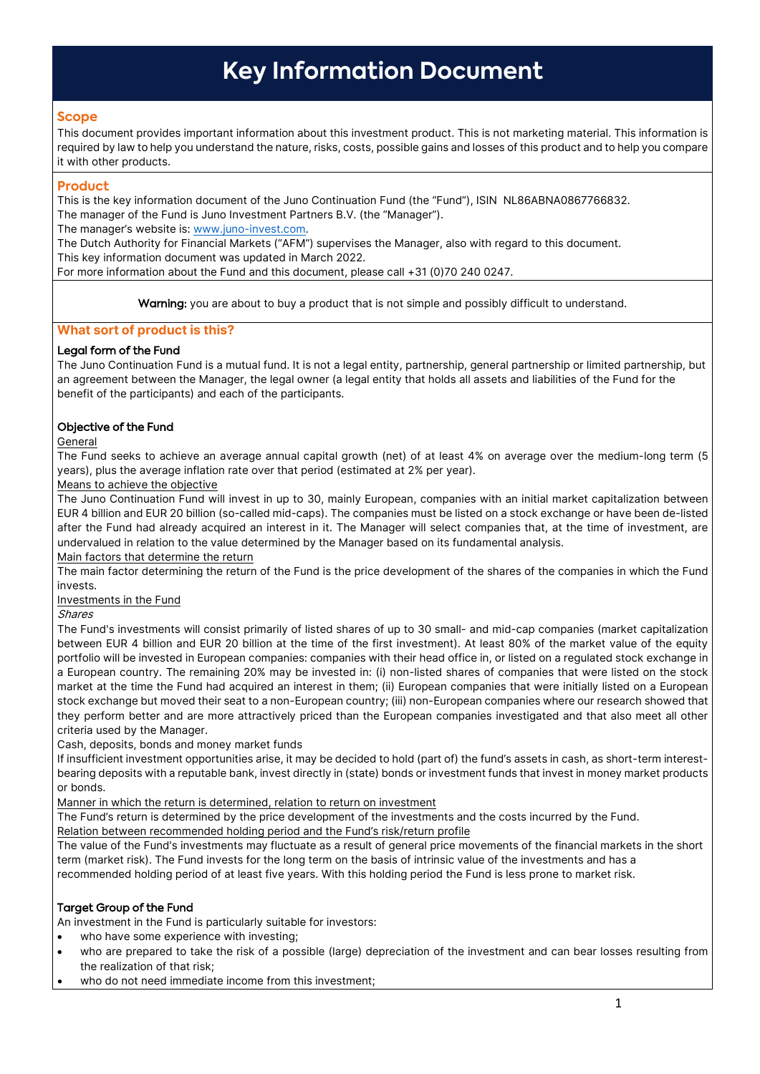# **Key Information Document**

## **Scope**

This document provides important information about this investment product. This is not marketing material. This information is required by law to help you understand the nature, risks, costs, possible gains and losses of this product and to help you compare it with other products.

# **Product**

This is the key information document of the Juno Continuation Fund (the "Fund"), ISIN NL86ABNA0867766832. The manager of the Fund is Juno Investment Partners B.V. (the "Manager").

The manager's website is[: www.juno-invest.com.](www.juno-invest.com) 

The Dutch Authority for Financial Markets ("AFM") supervises the Manager, also with regard to this document. This key information document was updated in March 2022.

For more information about the Fund and this document, please call +31 (0)70 240 0247.

Warning: you are about to buy a product that is not simple and possibly difficult to understand.

# **What sort of product is this?**

# Legal form of the Fund

The Juno Continuation Fund is a mutual fund. It is not a legal entity, partnership, general partnership or limited partnership, but an agreement between the Manager, the legal owner (a legal entity that holds all assets and liabilities of the Fund for the benefit of the participants) and each of the participants.

# Objective of the Fund

## General

The Fund seeks to achieve an average annual capital growth (net) of at least 4% on average over the medium-long term (5 years), plus the average inflation rate over that period (estimated at 2% per year).

Means to achieve the objective

The Juno Continuation Fund will invest in up to 30, mainly European, companies with an initial market capitalization between EUR 4 billion and EUR 20 billion (so-called mid-caps). The companies must be listed on a stock exchange or have been de-listed after the Fund had already acquired an interest in it. The Manager will select companies that, at the time of investment, are undervalued in relation to the value determined by the Manager based on its fundamental analysis.

Main factors that determine the return

The main factor determining the return of the Fund is the price development of the shares of the companies in which the Fund invests.

Investments in the Fund

Shares

The Fund's investments will consist primarily of listed shares of up to 30 small- and mid-cap companies (market capitalization between EUR 4 billion and EUR 20 billion at the time of the first investment). At least 80% of the market value of the equity portfolio will be invested in European companies: companies with their head office in, or listed on a regulated stock exchange in a European country. The remaining 20% may be invested in: (i) non-listed shares of companies that were listed on the stock market at the time the Fund had acquired an interest in them; (ii) European companies that were initially listed on a European stock exchange but moved their seat to a non-European country; (iii) non-European companies where our research showed that they perform better and are more attractively priced than the European companies investigated and that also meet all other criteria used by the Manager.

Cash, deposits, bonds and money market funds

If insufficient investment opportunities arise, it may be decided to hold (part of) the fund's assets in cash, as short-term interestbearing deposits with a reputable bank, invest directly in (state) bonds or investment funds that invest in money market products or bonds.

Manner in which the return is determined, relation to return on investment

The Fund's return is determined by the price development of the investments and the costs incurred by the Fund.

Relation between recommended holding period and the Fund's risk/return profile

The value of the Fund's investments may fluctuate as a result of general price movements of the financial markets in the short term (market risk). The Fund invests for the long term on the basis of intrinsic value of the investments and has a recommended holding period of at least five years. With this holding period the Fund is less prone to market risk.

# Target Group of the Fund

An investment in the Fund is particularly suitable for investors:

- who have some experience with investing;
- who are prepared to take the risk of a possible (large) depreciation of the investment and can bear losses resulting from the realization of that risk;
- who do not need immediate income from this investment;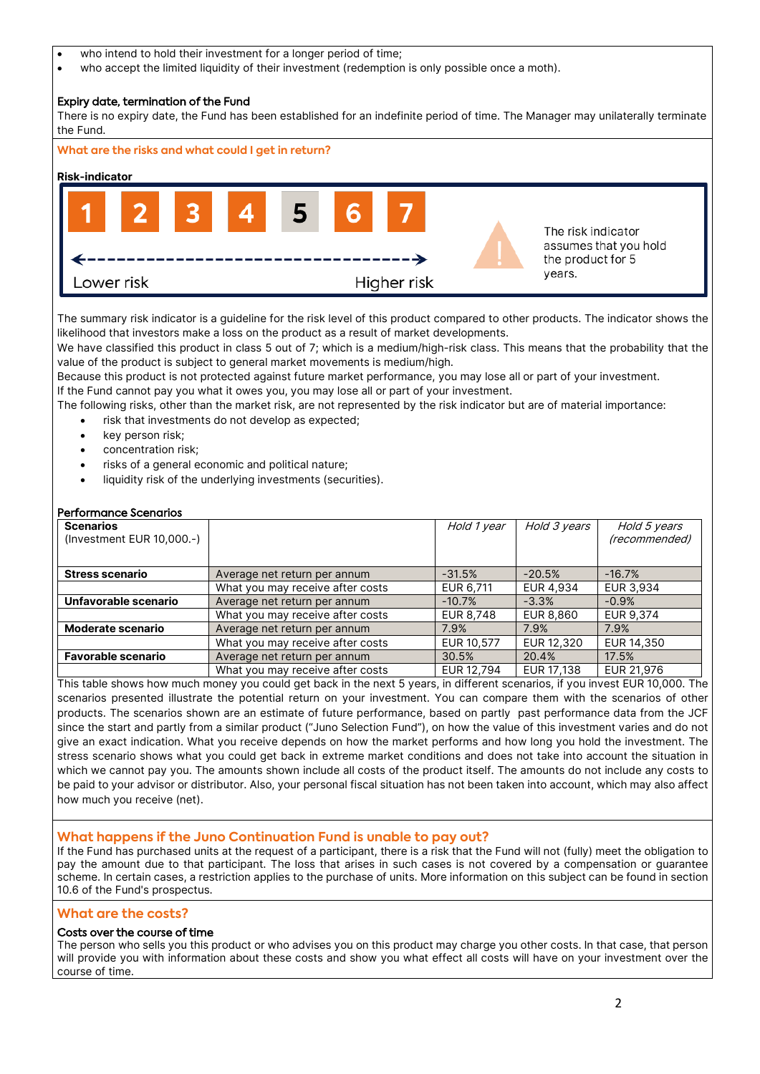- who intend to hold their investment for a longer period of time;
- who accept the limited liquidity of their investment (redemption is only possible once a moth).

## Expiry date, termination of the Fund

There is no expiry date, the Fund has been established for an indefinite period of time. The Manager may unilaterally terminate the Fund.



The summary risk indicator is a guideline for the risk level of this product compared to other products. The indicator shows the likelihood that investors make a loss on the product as a result of market developments.

We have classified this product in class 5 out of 7; which is a medium/high-risk class. This means that the probability that the value of the product is subject to general market movements is medium/high.

Because this product is not protected against future market performance, you may lose all or part of your investment. If the Fund cannot pay you what it owes you, you may lose all or part of your investment.

The following risks, other than the market risk, are not represented by the risk indicator but are of material importance:

- risk that investments do not develop as expected;
- key person risk;
- concentration risk;
- risks of a general economic and political nature;
- liquidity risk of the underlying investments (securities).

#### Performance Scenarios

| <b>Scenarios</b>                                          |                                  | Hold 1 year | Hold 3 years | Hold 5 years  |  |
|-----------------------------------------------------------|----------------------------------|-------------|--------------|---------------|--|
|                                                           | (Investment EUR 10,000.-)        |             |              | (recommended) |  |
|                                                           |                                  |             |              |               |  |
| <b>Stress scenario</b><br>Average net return per annum    |                                  | $-31.5%$    | $-20.5%$     | $-16.7%$      |  |
|                                                           | What you may receive after costs | EUR 6,711   | EUR 4,934    | EUR 3,934     |  |
| Unfavorable scenario<br>Average net return per annum      |                                  | $-10.7%$    | $-3.3%$      | $-0.9%$       |  |
|                                                           | What you may receive after costs | EUR 8,748   | EUR 8,860    | EUR 9,374     |  |
| <b>Moderate scenario</b><br>Average net return per annum  |                                  | 7.9%        | 7.9%         | 7.9%          |  |
|                                                           | What you may receive after costs | EUR 10,577  | EUR 12,320   | EUR 14,350    |  |
| <b>Favorable scenario</b><br>Average net return per annum |                                  | 30.5%       | 20.4%        | 17.5%         |  |
|                                                           | What you may receive after costs | EUR 12,794  | EUR 17,138   | EUR 21,976    |  |

This table shows how much money you could get back in the next 5 years, in different scenarios, if you invest EUR 10,000. The scenarios presented illustrate the potential return on your investment. You can compare them with the scenarios of other products. The scenarios shown are an estimate of future performance, based on partly past performance data from the JCF since the start and partly from a similar product ("Juno Selection Fund"), on how the value of this investment varies and do not give an exact indication. What you receive depends on how the market performs and how long you hold the investment. The stress scenario shows what you could get back in extreme market conditions and does not take into account the situation in which we cannot pay you. The amounts shown include all costs of the product itself. The amounts do not include any costs to be paid to your advisor or distributor. Also, your personal fiscal situation has not been taken into account, which may also affect how much you receive (net).

## **What happens if the Juno Continuation Fund is unable to pay out?**

If the Fund has purchased units at the request of a participant, there is a risk that the Fund will not (fully) meet the obligation to pay the amount due to that participant. The loss that arises in such cases is not covered by a compensation or guarantee scheme. In certain cases, a restriction applies to the purchase of units. More information on this subject can be found in section 10.6 of the Fund's prospectus.

#### **What are the costs?**

# Costs over the course of time

The person who sells you this product or who advises you on this product may charge you other costs. In that case, that person will provide you with information about these costs and show you what effect all costs will have on your investment over the course of time.